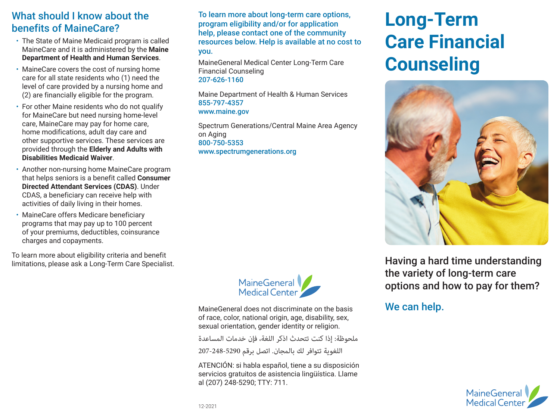# What should I know about the benefits of MaineCare?

- The State of Maine Medicaid program is called MaineCare and it is administered by the **Maine Department of Health and Human Services**.
- MaineCare covers the cost of nursing home care for all state residents who (1) need the level of care provided by a nursing home and (2) are financially eligible for the program.
- For other Maine residents who do not qualify for MaineCare but need nursing home-level care, MaineCare may pay for home care, home modifications, adult day care and other supportive services. These services are provided through the **Elderly and Adults with Disabilities Medicaid Waiver**.
- Another non-nursing home MaineCare program that helps seniors is a benefit called **Consumer Directed Attendant Services (CDAS)**. Under CDAS, a beneficiary can receive help with activities of daily living in their homes.
- MaineCare offers Medicare beneficiary programs that may pay up to 100 percent of your premiums, deductibles, coinsurance charges and copayments.

To learn more about eligibility criteria and benefit limitations, please ask a Long-Term Care Specialist.

To learn more about long-term care options, program eligibility and/or for application help, please contact one of the community resources below. Help is available at no cost to you.

MaineGeneral Medical Center Long-Term Care Financial Counseling 207-626-1160

Maine Department of Health & Human Services 855-797-4357 www.maine.gov

Spectrum Generations/Central Maine Area Agency on Aging 800-750-5353 www.spectrumgenerations.org



MaineGeneral does not discriminate on the basis of race, color, national origin, age, disability, sex, sexual orientation, gender identity or religion.

ملحوظة: إذا كنت تتحدث اذكر اللغة، فإن خدمات المساعدة

اللغوية تتوافر لك بالمجان. اتصل برقم 207-248-5290

ATENCIÓN: si habla español, tiene a su disposición servicios gratuitos de asistencia lingüística. Llame al (207) 248-5290; TTY: 711.

# **Long-Term Care Financial Counseling**



Having a hard time understanding the variety of long-term care options and how to pay for them?

## We can help.